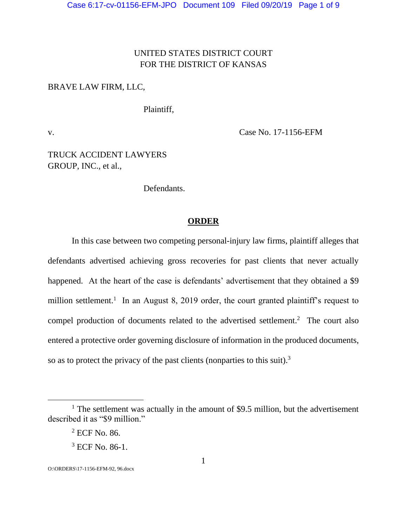# UNITED STATES DISTRICT COURT FOR THE DISTRICT OF KANSAS

### BRAVE LAW FIRM, LLC,

Plaintiff,

v. Case No. 17-1156-EFM

TRUCK ACCIDENT LAWYERS GROUP, INC., et al.,

Defendants.

### **ORDER**

In this case between two competing personal-injury law firms, plaintiff alleges that defendants advertised achieving gross recoveries for past clients that never actually happened. At the heart of the case is defendants' advertisement that they obtained a \$9 million settlement.<sup>1</sup> In an August 8, 2019 order, the court granted plaintiff's request to compel production of documents related to the advertised settlement. 2 The court also entered a protective order governing disclosure of information in the produced documents, so as to protect the privacy of the past clients (nonparties to this suit).<sup>3</sup>

 $\overline{a}$ 

O:\ORDERS\17-1156-EFM-92, 96.docx

<sup>&</sup>lt;sup>1</sup> The settlement was actually in the amount of \$9.5 million, but the advertisement described it as "\$9 million."

<sup>2</sup> ECF No. 86.

<sup>3</sup> ECF No. 86-1.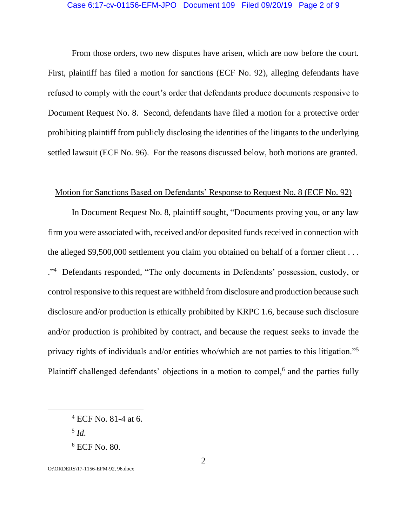## Case 6:17-cv-01156-EFM-JPO Document 109 Filed 09/20/19 Page 2 of 9

From those orders, two new disputes have arisen, which are now before the court. First, plaintiff has filed a motion for sanctions (ECF No. 92), alleging defendants have refused to comply with the court's order that defendants produce documents responsive to Document Request No. 8. Second, defendants have filed a motion for a protective order prohibiting plaintiff from publicly disclosing the identities of the litigants to the underlying settled lawsuit (ECF No. 96). For the reasons discussed below, both motions are granted.

### Motion for Sanctions Based on Defendants' Response to Request No. 8 (ECF No. 92)

In Document Request No. 8, plaintiff sought, "Documents proving you, or any law firm you were associated with, received and/or deposited funds received in connection with the alleged \$9,500,000 settlement you claim you obtained on behalf of a former client . . . ."4 Defendants responded, "The only documents in Defendants' possession, custody, or control responsive to this request are withheld from disclosure and production because such disclosure and/or production is ethically prohibited by KRPC 1.6, because such disclosure and/or production is prohibited by contract, and because the request seeks to invade the privacy rights of individuals and/or entities who/which are not parties to this litigation."<sup>5</sup> Plaintiff challenged defendants' objections in a motion to compel,<sup>6</sup> and the parties fully

5 *Id.*

 $\overline{a}$ 

O:\ORDERS\17-1156-EFM-92, 96.docx

<sup>4</sup> ECF No. 81-4 at 6.

<sup>6</sup> ECF No. 80.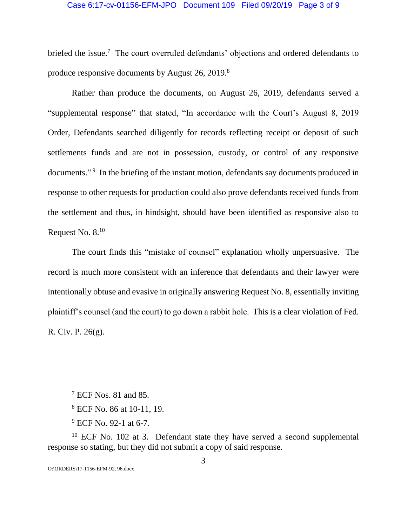### Case 6:17-cv-01156-EFM-JPO Document 109 Filed 09/20/19 Page 3 of 9

briefed the issue.<sup>7</sup> The court overruled defendants' objections and ordered defendants to produce responsive documents by August 26, 2019.<sup>8</sup>

Rather than produce the documents, on August 26, 2019, defendants served a "supplemental response" that stated, "In accordance with the Court's August 8, 2019 Order, Defendants searched diligently for records reflecting receipt or deposit of such settlements funds and are not in possession, custody, or control of any responsive documents."<sup>9</sup> In the briefing of the instant motion, defendants say documents produced in response to other requests for production could also prove defendants received funds from the settlement and thus, in hindsight, should have been identified as responsive also to Request No. 8.<sup>10</sup>

The court finds this "mistake of counsel" explanation wholly unpersuasive. The record is much more consistent with an inference that defendants and their lawyer were intentionally obtuse and evasive in originally answering Request No. 8, essentially inviting plaintiff's counsel (and the court) to go down a rabbit hole. This is a clear violation of Fed. R. Civ. P. 26(g).

 $10$  ECF No. 102 at 3. Defendant state they have served a second supplemental response so stating, but they did not submit a copy of said response.

<sup>7</sup> ECF Nos. 81 and 85.

<sup>8</sup> ECF No. 86 at 10-11, 19.

<sup>&</sup>lt;sup>9</sup> ECF No. 92-1 at 6-7.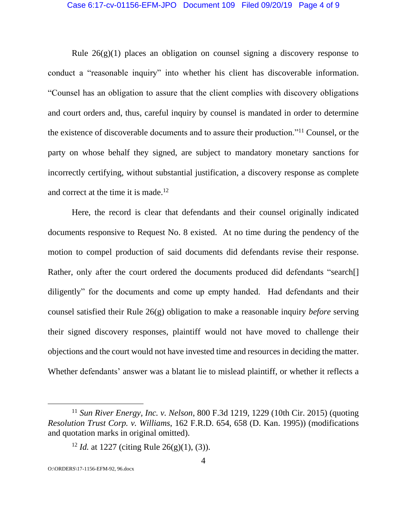#### Case 6:17-cv-01156-EFM-JPO Document 109 Filed 09/20/19 Page 4 of 9

Rule  $26(g)(1)$  places an obligation on counsel signing a discovery response to conduct a "reasonable inquiry" into whether his client has discoverable information. "Counsel has an obligation to assure that the client complies with discovery obligations and court orders and, thus, careful inquiry by counsel is mandated in order to determine the existence of discoverable documents and to assure their production."<sup>11</sup> Counsel, or the party on whose behalf they signed, are subject to mandatory monetary sanctions for incorrectly certifying, without substantial justification, a discovery response as complete and correct at the time it is made. 12

Here, the record is clear that defendants and their counsel originally indicated documents responsive to Request No. 8 existed. At no time during the pendency of the motion to compel production of said documents did defendants revise their response. Rather, only after the court ordered the documents produced did defendants "search<sup>[]</sup> diligently" for the documents and come up empty handed. Had defendants and their counsel satisfied their Rule 26(g) obligation to make a reasonable inquiry *before* serving their signed discovery responses, plaintiff would not have moved to challenge their objections and the court would not have invested time and resources in deciding the matter. Whether defendants' answer was a blatant lie to mislead plaintiff, or whether it reflects a

<sup>11</sup> *Sun River Energy, Inc. v. Nelson*, 800 F.3d 1219, 1229 (10th Cir. 2015) (quoting *Resolution Trust Corp. v. Williams*, 162 F.R.D. 654, 658 (D. Kan. 1995)) (modifications and quotation marks in original omitted).

<sup>&</sup>lt;sup>12</sup> *Id.* at 1227 (citing Rule 26(g)(1), (3)).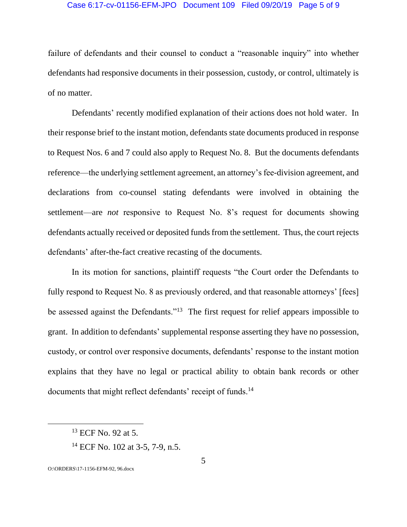## Case 6:17-cv-01156-EFM-JPO Document 109 Filed 09/20/19 Page 5 of 9

failure of defendants and their counsel to conduct a "reasonable inquiry" into whether defendants had responsive documents in their possession, custody, or control, ultimately is of no matter.

Defendants' recently modified explanation of their actions does not hold water. In their response brief to the instant motion, defendants state documents produced in response to Request Nos. 6 and 7 could also apply to Request No. 8. But the documents defendants reference—the underlying settlement agreement, an attorney's fee-division agreement, and declarations from co-counsel stating defendants were involved in obtaining the settlement—are *not* responsive to Request No. 8's request for documents showing defendants actually received or deposited funds from the settlement. Thus, the court rejects defendants' after-the-fact creative recasting of the documents.

In its motion for sanctions, plaintiff requests "the Court order the Defendants to fully respond to Request No. 8 as previously ordered, and that reasonable attorneys' [fees] be assessed against the Defendants."<sup>13</sup> The first request for relief appears impossible to grant. In addition to defendants' supplemental response asserting they have no possession, custody, or control over responsive documents, defendants' response to the instant motion explains that they have no legal or practical ability to obtain bank records or other documents that might reflect defendants' receipt of funds.<sup>14</sup>

<sup>13</sup> ECF No. 92 at 5.

<sup>14</sup> ECF No. 102 at 3-5, 7-9, n.5.

O:\ORDERS\17-1156-EFM-92, 96.docx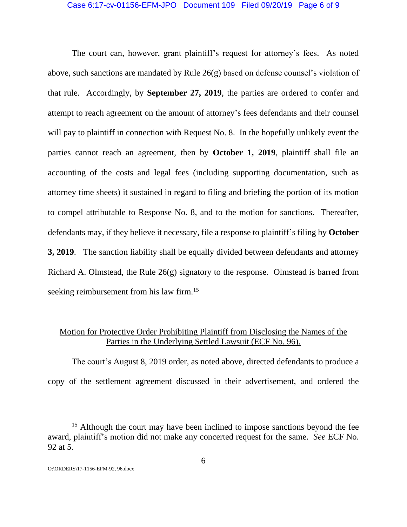### Case 6:17-cv-01156-EFM-JPO Document 109 Filed 09/20/19 Page 6 of 9

The court can, however, grant plaintiff's request for attorney's fees. As noted above, such sanctions are mandated by Rule 26(g) based on defense counsel's violation of that rule. Accordingly, by **September 27, 2019**, the parties are ordered to confer and attempt to reach agreement on the amount of attorney's fees defendants and their counsel will pay to plaintiff in connection with Request No. 8. In the hopefully unlikely event the parties cannot reach an agreement, then by **October 1, 2019**, plaintiff shall file an accounting of the costs and legal fees (including supporting documentation, such as attorney time sheets) it sustained in regard to filing and briefing the portion of its motion to compel attributable to Response No. 8, and to the motion for sanctions. Thereafter, defendants may, if they believe it necessary, file a response to plaintiff's filing by **October 3, 2019**. The sanction liability shall be equally divided between defendants and attorney Richard A. Olmstead, the Rule 26(g) signatory to the response. Olmstead is barred from seeking reimbursement from his law firm.<sup>15</sup>

# Motion for Protective Order Prohibiting Plaintiff from Disclosing the Names of the Parties in the Underlying Settled Lawsuit (ECF No. 96).

The court's August 8, 2019 order, as noted above, directed defendants to produce a copy of the settlement agreement discussed in their advertisement, and ordered the

<sup>&</sup>lt;sup>15</sup> Although the court may have been inclined to impose sanctions beyond the fee award, plaintiff's motion did not make any concerted request for the same. *See* ECF No. 92 at 5.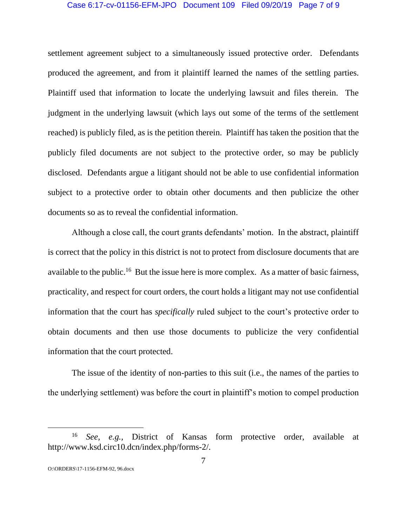### Case 6:17-cv-01156-EFM-JPO Document 109 Filed 09/20/19 Page 7 of 9

settlement agreement subject to a simultaneously issued protective order. Defendants produced the agreement, and from it plaintiff learned the names of the settling parties. Plaintiff used that information to locate the underlying lawsuit and files therein. The judgment in the underlying lawsuit (which lays out some of the terms of the settlement reached) is publicly filed, as is the petition therein. Plaintiff has taken the position that the publicly filed documents are not subject to the protective order, so may be publicly disclosed. Defendants argue a litigant should not be able to use confidential information subject to a protective order to obtain other documents and then publicize the other documents so as to reveal the confidential information.

Although a close call, the court grants defendants' motion. In the abstract, plaintiff is correct that the policy in this district is not to protect from disclosure documents that are available to the public.<sup>16</sup> But the issue here is more complex. As a matter of basic fairness, practicality, and respect for court orders, the court holds a litigant may not use confidential information that the court has *specifically* ruled subject to the court's protective order to obtain documents and then use those documents to publicize the very confidential information that the court protected.

The issue of the identity of non-parties to this suit (i.e., the names of the parties to the underlying settlement) was before the court in plaintiff's motion to compel production

<sup>16</sup> *See, e.g.,* District of Kansas form protective order, available at http://www.ksd.circ10.dcn/index.php/forms-2/.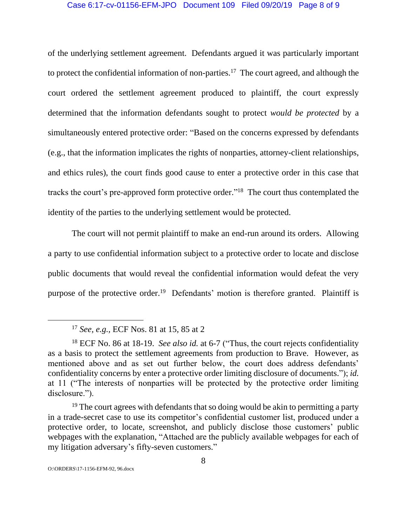### Case 6:17-cv-01156-EFM-JPO Document 109 Filed 09/20/19 Page 8 of 9

of the underlying settlement agreement. Defendants argued it was particularly important to protect the confidential information of non-parties.<sup>17</sup> The court agreed, and although the court ordered the settlement agreement produced to plaintiff, the court expressly determined that the information defendants sought to protect *would be protected* by a simultaneously entered protective order: "Based on the concerns expressed by defendants (e.g., that the information implicates the rights of nonparties, attorney-client relationships, and ethics rules), the court finds good cause to enter a protective order in this case that tracks the court's pre-approved form protective order." 18 The court thus contemplated the identity of the parties to the underlying settlement would be protected.

The court will not permit plaintiff to make an end-run around its orders. Allowing a party to use confidential information subject to a protective order to locate and disclose public documents that would reveal the confidential information would defeat the very purpose of the protective order.<sup>19</sup> Defendants' motion is therefore granted. Plaintiff is

<sup>17</sup> *See, e.g.,* ECF Nos. 81 at 15, 85 at 2

<sup>18</sup> ECF No. 86 at 18-19. *See also id.* at 6-7 ("Thus, the court rejects confidentiality as a basis to protect the settlement agreements from production to Brave. However, as mentioned above and as set out further below, the court does address defendants' confidentiality concerns by enter a protective order limiting disclosure of documents."); *id.*  at 11 ("The interests of nonparties will be protected by the protective order limiting disclosure.").

 $19$  The court agrees with defendants that so doing would be akin to permitting a party in a trade-secret case to use its competitor's confidential customer list, produced under a protective order, to locate, screenshot, and publicly disclose those customers' public webpages with the explanation, "Attached are the publicly available webpages for each of my litigation adversary's fifty-seven customers."